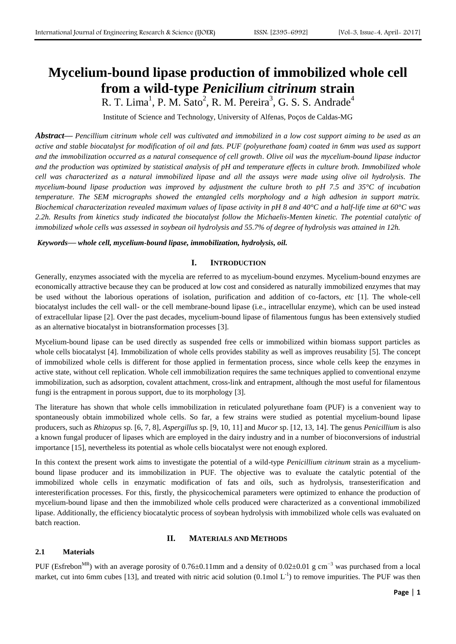# **Mycelium-bound lipase production of immobilized whole cell from a wild-type** *Penicilium citrinum* **strain**

R. T. Lima<sup>1</sup>, P. M. Sato<sup>2</sup>, R. M. Pereira<sup>3</sup>, G. S. S. Andrade<sup>4</sup>

Institute of Science and Technology, University of Alfenas, Poços de Caldas-MG

*Abstract***—** *Pencillium citrinum whole cell was cultivated and immobilized in a low cost support aiming to be used as an active and stable biocatalyst for modification of oil and fats. PUF (polyurethane foam) coated in 6mm was used as support and the immobilization occurred as a natural consequence of cell growth. Olive oil was the mycelium-bound lipase inductor and the production was optimized by statistical analysis of pH and temperature effects in culture broth. Immobilized whole cell was characterized as a natural immobilized lipase and all the assays were made using olive oil hydrolysis. The mycelium-bound lipase production was improved by adjustment the culture broth to pH 7.5 and 35°C of incubation temperature. The SEM micrographs showed the entangled cells morphology and a high adhesion in support matrix. Biochemical characterization revealed maximum values of lipase activity in pH 8 and 40°C and a half-life time at 60°C was 2.2h. Results from kinetics study indicated the biocatalyst follow the Michaelis-Menten kinetic. The potential catalytic of immobilized whole cells was assessed in soybean oil hydrolysis and 55.7% of degree of hydrolysis was attained in 12h.*

*Keywords***—** *whole cell, mycelium-bound lipase, immobilization, hydrolysis, oil.*

## **I. INTRODUCTION**

Generally, enzymes associated with the mycelia are referred to as mycelium-bound enzymes. Mycelium-bound enzymes are economically attractive because they can be produced at low cost and considered as naturally immobilized enzymes that may be used without the laborious operations of isolation, purification and addition of co-factors, *etc* [1]. The whole-cell biocatalyst includes the cell wall- or the cell membrane-bound lipase (i.e., intracellular enzyme), which can be used instead of extracellular lipase [2]. Over the past decades, mycelium-bound lipase of filamentous fungus has been extensively studied as an alternative biocatalyst in biotransformation processes [3].

Mycelium-bound lipase can be used directly as suspended free cells or immobilized within biomass support particles as whole cells biocatalyst [4]. Immobilization of whole cells provides stability as well as improves reusability [5]. The concept of immobilized whole cells is different for those applied in fermentation process, since whole cells keep the enzymes in active state, without cell replication. Whole cell immobilization requires the same techniques applied to conventional enzyme immobilization, such as adsorption, covalent attachment, cross-link and entrapment, although the most useful for filamentous fungi is the entrapment in porous support, due to its morphology [3].

The literature has shown that whole cells immobilization in reticulated polyurethane foam (PUF) is a convenient way to spontaneously obtain immobilized whole cells. So far, a few strains were studied as potential mycelium-bound lipase producers, such as *Rhizopus* sp. [6, 7, 8], *Aspergillus* sp. [9, 10, 11] and *Mucor* sp. [12, 13, 14]. The genus *Penicillium* is also a known fungal producer of lipases which are employed in the dairy industry and in a number of bioconversions of industrial importance [15], nevertheless its potential as whole cells biocatalyst were not enough explored.

In this context the present work aims to investigate the potential of a wild-type *Penicillium citrinum* strain as a myceliumbound lipase producer and its immobilization in PUF. The objective was to evaluate the catalytic potential of the immobilized whole cells in enzymatic modification of fats and oils, such as hydrolysis, transesterification and interesterification processes. For this, firstly, the physicochemical parameters were optimized to enhance the production of mycelium-bound lipase and then the immobilized whole cells produced were characterized as a conventional immobilized lipase. Additionally, the efficiency biocatalytic process of soybean hydrolysis with immobilized whole cells was evaluated on batch reaction.

#### **II. MATERIALS AND METHODS**

## **2.1 Materials**

PUF (Esfrebon<sup>MR</sup>) with an average porosity of 0.76±0.11mm and a density of 0.02±0.01 g cm<sup>-3</sup> was purchased from a local market, cut into 6mm cubes [13], and treated with nitric acid solution  $(0.1 \text{ mol L}^{-1})$  to remove impurities. The PUF was then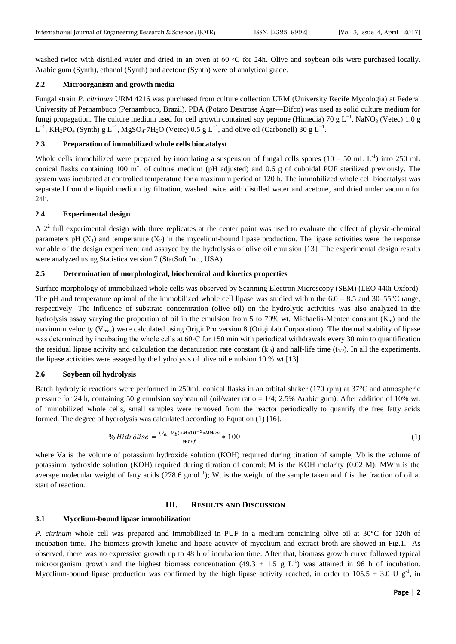washed twice with distilled water and dried in an oven at 60 ℃ for 24h. Olive and soybean oils were purchased locally. Arabic gum (Synth), ethanol (Synth) and acetone (Synth) were of analytical grade.

#### **2.2 Microorganism and growth media**

Fungal strain *P. citrinum* URM 4216 was purchased from culture collection URM (University Recife Mycologia) at Federal University of Pernambuco (Pernambuco, Brazil). PDA (Potato Dextrose Agar—Difco) was used as solid culture medium for fungi propagation. The culture medium used for cell growth contained soy peptone (Himedia) 70 g L<sup>-1</sup>, NaNO<sub>3</sub> (Vetec) 1.0 g  $L^{-1}$ , KH<sub>2</sub>PO<sub>4</sub> (Synth) g  $L^{-1}$ , MgSO<sub>4</sub>·7H<sub>2</sub>O (Vetec) 0.5 g  $L^{-1}$ , and olive oil (Carbonell) 30 g  $L^{-1}$ .

#### **2.3 Preparation of immobilized whole cells biocatalyst**

Whole cells immobilized were prepared by inoculating a suspension of fungal cells spores  $(10 - 50 \text{ mL L}^{-1})$  into 250 mL conical flasks containing 100 mL of culture medium (pH adjusted) and 0.6 g of cuboidal PUF sterilized previously. The system was incubated at controlled temperature for a maximum period of 120 h. The immobilized whole cell biocatalyst was separated from the liquid medium by filtration, washed twice with distilled water and acetone, and dried under vacuum for 24h.

#### **2.4 Experimental design**

A  $2<sup>2</sup>$  full experimental design with three replicates at the center point was used to evaluate the effect of physic-chemical parameters pH  $(X_1)$  and temperature  $(X_2)$  in the mycelium-bound lipase production. The lipase activities were the response variable of the design experiment and assayed by the hydrolysis of olive oil emulsion [13]. The experimental design results were analyzed using Statistica version 7 (StatSoft Inc., USA).

#### **2.5 Determination of morphological, biochemical and kinetics properties**

Surface morphology of immobilized whole cells was observed by Scanning Electron Microscopy (SEM) (LEO 440i Oxford). The pH and temperature optimal of the immobilized whole cell lipase was studied within the  $6.0 - 8.5$  and  $30 - 55^{\circ}$ C range, respectively. The influence of substrate concentration (olive oil) on the hydrolytic activities was also analyzed in the hydrolysis assay varying the proportion of oil in the emulsion from 5 to 70% wt. Michaelis-Menten constant  $(K_m)$  and the maximum velocity ( $V_{\text{max}}$ ) were calculated using OriginPro version 8 (Originlab Corporation). The thermal stability of lipase was determined by incubating the whole cells at 60℃ for 150 min with periodical withdrawals every 30 min to quantification the residual lipase activity and calculation the denaturation rate constant  $(k_D)$  and half-life time  $(t_{1/2})$ . In all the experiments, the lipase activities were assayed by the hydrolysis of olive oil emulsion 10 % wt [13].

#### **2.6 Soybean oil hydrolysis**

Batch hydrolytic reactions were performed in 250mL conical flasks in an orbital shaker (170 rpm) at 37°C and atmospheric pressure for 24 h, containing 50 g emulsion soybean oil (oil/water ratio =  $1/4$ ; 2.5% Arabic gum). After addition of 10% wt. of immobilized whole cells, small samples were removed from the reactor periodically to quantify the free fatty acids formed. The degree of hydrolysis was calculated according to Equation (1) [16].

$$
\% Hidrólise = \frac{(v_a - v_b) * M * 10^{-3} * M W m}{W t * f} * 100 \tag{1}
$$

where Va is the volume of potassium hydroxide solution (KOH) required during titration of sample; Vb is the volume of potassium hydroxide solution (KOH) required during titration of control; M is the KOH molarity (0.02 M); MWm is the average molecular weight of fatty acids  $(278.6 \text{ gmol}^{-1})$ ; Wt is the weight of the sample taken and f is the fraction of oil at start of reaction.

#### **III. RESULTS AND DISCUSSION**

#### **3.1 Mycelium-bound lipase immobilization**

*P. citrinum* whole cell was prepared and immobilized in PUF in a medium containing olive oil at 30°C for 120h of incubation time. The biomass growth kinetic and lipase activity of mycelium and extract broth are showed in Fig.1. As observed, there was no expressive growth up to 48 h of incubation time. After that, biomass growth curve followed typical microorganism growth and the highest biomass concentration (49.3  $\pm$  1.5 g L<sup>-1</sup>) was attained in 96 h of incubation. Mycelium-bound lipase production was confirmed by the high lipase activity reached, in order to 105.5  $\pm$  3.0 U g<sup>-1</sup>, in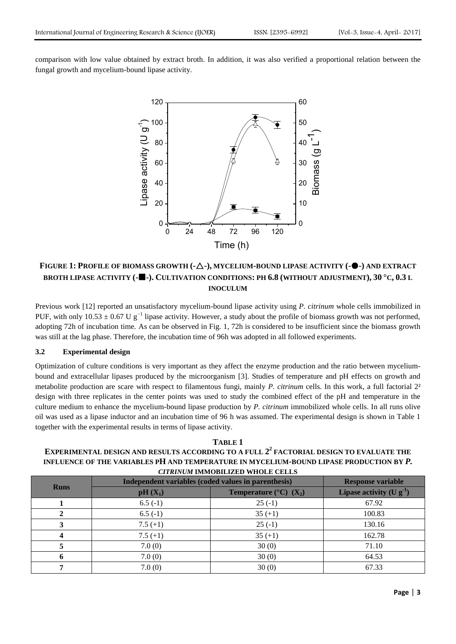comparison with low value obtained by extract broth. In addition, it was also verified a proportional relation between the fungal growth and mycelium-bound lipase activity.



# **FIGURE 1: PROFILE OF BIOMASS GROWTH (--), MYCELIUM-BOUND LIPASE ACTIVITY (--) AND EXTRACT BROTH LIPASE ACTIVITY (--). CULTIVATION CONDITIONS: PH 6.8 (WITHOUT ADJUSTMENT), 30 °C, 0.3 L INOCULUM**

Previous work [12] reported an unsatisfactory mycelium-bound lipase activity using *P. citrinum* whole cells immobilized in PUF, with only  $10.53 \pm 0.67$  U g<sup>-1</sup> lipase activity. However, a study about the profile of biomass growth was not performed, adopting 72h of incubation time. As can be observed in Fig. 1, 72h is considered to be insufficient since the biomass growth was still at the lag phase. Therefore, the incubation time of 96h was adopted in all followed experiments.

## **3.2 Experimental design**

Optimization of culture conditions is very important as they affect the enzyme production and the ratio between myceliumbound and extracellular lipases produced by the microorganism [3]. Studies of temperature and pH effects on growth and metabolite production are scare with respect to filamentous fungi, mainly *P. citrinum* cells. In this work, a full factorial 2² design with three replicates in the center points was used to study the combined effect of the pH and temperature in the culture medium to enhance the mycelium-bound lipase production by *P. citrinum* immobilized whole cells. In all runs olive oil was used as a lipase inductor and an incubation time of 96 h was assumed. The experimental design is shown in Table 1 together with the experimental results in terms of lipase activity.

## **TABLE 1 EXPERIMENTAL DESIGN AND RESULTS ACCORDING TO A FULL 2 2 FACTORIAL DESIGN TO EVALUATE THE INFLUENCE OF THE VARIABLES PH AND TEMPERATURE IN MYCELIUM-BOUND LIPASE PRODUCTION BY** *P. CITRINUM* **IMMOBILIZED WHOLE CELLS**

| <b>Runs</b> | Independent variables (coded values in parenthesis) | <b>Response variable</b>                        |                              |
|-------------|-----------------------------------------------------|-------------------------------------------------|------------------------------|
|             | $pH(X_1)$                                           | Temperature ( ${}^{\circ}$ C) (X <sub>2</sub> ) | Lipase activity $(U g^{-1})$ |
|             | $6.5(-1)$                                           | $25(-1)$                                        | 67.92                        |
|             | $6.5(-1)$                                           | $35 (+1)$                                       | 100.83                       |
|             | $7.5(+1)$                                           | $25(-1)$                                        | 130.16                       |
|             | $7.5(+1)$                                           | $35 (+1)$                                       | 162.78                       |
|             | 7.0(0)                                              | 30(0)                                           | 71.10                        |
|             | 7.0(0)                                              | 30(0)                                           | 64.53                        |
|             | 7.0(0)                                              | 30(0)                                           | 67.33                        |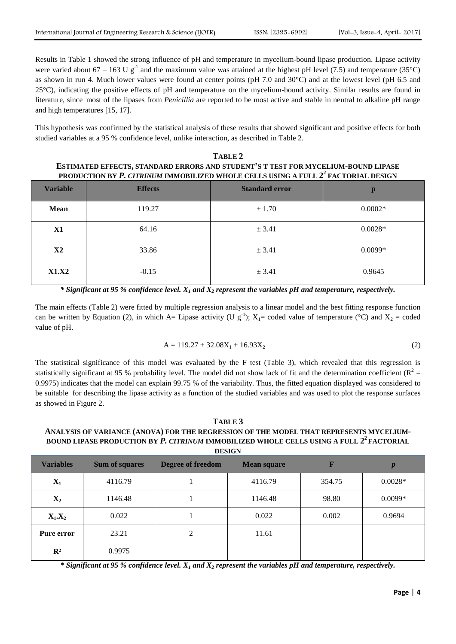Results in Table 1 showed the strong influence of pH and temperature in mycelium-bound lipase production. Lipase activity were varied about 67 – 163 U  $g^{-1}$  and the maximum value was attained at the highest pH level (7.5) and temperature (35°C) as shown in run 4. Much lower values were found at center points (pH 7.0 and 30°C) and at the lowest level (pH 6.5 and 25°C), indicating the positive effects of pH and temperature on the mycelium-bound activity. Similar results are found in literature, since most of the lipases from *Penicillia* are reported to be most active and stable in neutral to alkaline pH range and high temperatures [15, 17].

This hypothesis was confirmed by the statistical analysis of these results that showed significant and positive effects for both studied variables at a 95 % confidence level, unlike interaction, as described in Table 2.

# **TABLE 2 ESTIMATED EFFECTS, STANDARD ERRORS AND STUDENT'S T TEST FOR MYCELIUM-BOUND LIPASE PRODUCTION BY** *P. CITRINUM* **IMMOBILIZED WHOLE CELLS USING A FULL 2 2 FACTORIAL DESIGN**

| <b>Variable</b> | <b>Effects</b> | <b>Standard error</b> | p         |
|-----------------|----------------|-----------------------|-----------|
| Mean            | 119.27         | ± 1.70                | $0.0002*$ |
| <b>X1</b>       | 64.16          | ± 3.41                | $0.0028*$ |
| X2              | 33.86          | ± 3.41                | $0.0099*$ |
| <b>X1.X2</b>    | $-0.15$        | ± 3.41                | 0.9645    |

*\* Significant at 95 % confidence level. X<sup>1</sup> and X<sup>2</sup> represent the variables pH and temperature, respectively.*

The main effects (Table 2) were fitted by multiple regression analysis to a linear model and the best fitting response function can be written by Equation (2), in which A= Lipase activity (U  $g^{-1}$ );  $X_1$ = coded value of temperature (°C) and  $X_2$  = coded value of pH.

$$
A = 119.27 + 32.08X_1 + 16.93X_2
$$
 (2)

The statistical significance of this model was evaluated by the F test (Table 3), which revealed that this regression is statistically significant at 95 % probability level. The model did not show lack of fit and the determination coefficient ( $R^2 =$ 0.9975) indicates that the model can explain 99.75 % of the variability. Thus, the fitted equation displayed was considered to be suitable for describing the lipase activity as a function of the studied variables and was used to plot the response surfaces as showed in Figure 2.

## **TABLE 3 ANALYSIS OF VARIANCE (ANOVA) FOR THE REGRESSION OF THE MODEL THAT REPRESENTS MYCELIUM-BOUND LIPASE PRODUCTION BY** *P. CITRINUM* **IMMOBILIZED WHOLE CELLS USING A FULL 2 2 FACTORIAL DESIGN**

| <b>Variables</b> | <b>Sum of squares</b> | <b>Degree of freedom</b> | <b>Mean square</b> | F      | $\boldsymbol{p}$ |
|------------------|-----------------------|--------------------------|--------------------|--------|------------------|
| $X_1$            | 4116.79               |                          | 4116.79            | 354.75 | $0.0028*$        |
| $\mathbf{X}_2$   | 1146.48               |                          | 1146.48            | 98.80  | $0.0099*$        |
| $X_1.X_2$        | 0.022                 |                          | 0.022              | 0.002  | 0.9694           |
| Pure error       | 23.21                 | 2                        | 11.61              |        |                  |
| $\mathbb{R}^2$   | 0.9975                |                          |                    |        |                  |

*\* Significant at 95 % confidence level. X<sup>1</sup> and X<sup>2</sup> represent the variables pH and temperature, respectively.*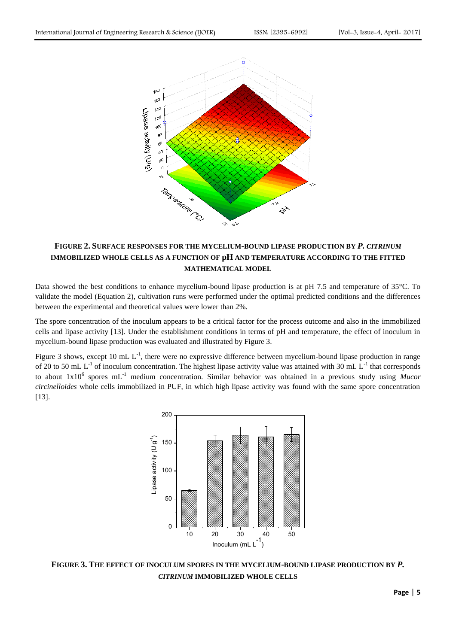

# **FIGURE 2. SURFACE RESPONSES FOR THE MYCELIUM-BOUND LIPASE PRODUCTION BY** *P. CITRINUM* **IMMOBILIZED WHOLE CELLS AS A FUNCTION OF pH AND TEMPERATURE ACCORDING TO THE FITTED MATHEMATICAL MODEL**

Data showed the best conditions to enhance mycelium-bound lipase production is at pH 7.5 and temperature of 35°C. To validate the model (Equation 2), cultivation runs were performed under the optimal predicted conditions and the differences between the experimental and theoretical values were lower than 2%.

The spore concentration of the inoculum appears to be a critical factor for the process outcome and also in the immobilized cells and lipase activity [13]. Under the establishment conditions in terms of pH and temperature, the effect of inoculum in mycelium-bound lipase production was evaluated and illustrated by Figure 3.

Figure 3 shows, except 10 mL  $L^{-1}$ , there were no expressive difference between mycelium-bound lipase production in range of 20 to 50 mL  $L^{-1}$  of inoculum concentration. The highest lipase activity value was attained with 30 mL  $L^{-1}$  that corresponds to about 1x10<sup>6</sup> spores mL<sup>-1</sup> medium concentration. Similar behavior was obtained in a previous study using Mucor *circinelloides* whole cells immobilized in PUF, in which high lipase activity was found with the same spore concentration [13].



**FIGURE 3. THE EFFECT OF INOCULUM SPORES IN THE MYCELIUM-BOUND LIPASE PRODUCTION BY** *P. CITRINUM* **IMMOBILIZED WHOLE CELLS**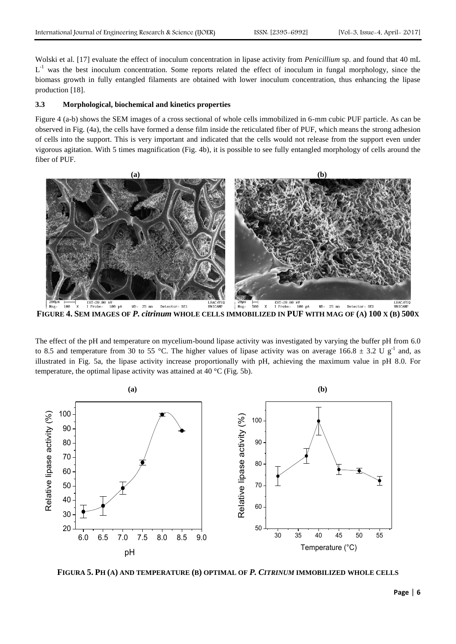Wolski et al. [17] evaluate the effect of inoculum concentration in lipase activity from *Penicillium* sp. and found that 40 mL  $L^{-1}$  was the best inoculum concentration. Some reports related the effect of inoculum in fungal morphology, since the biomass growth in fully entangled filaments are obtained with lower inoculum concentration, thus enhancing the lipase production [18].

#### **3.3 Morphological, biochemical and kinetics properties**

Figure 4 (a-b) shows the SEM images of a cross sectional of whole cells immobilized in 6-mm cubic PUF particle. As can be observed in Fig. (4a), the cells have formed a dense film inside the reticulated fiber of PUF, which means the strong adhesion of cells into the support. This is very important and indicated that the cells would not release from the support even under vigorous agitation. With 5 times magnification (Fig. 4b), it is possible to see fully entangled morphology of cells around the fiber of PUF.



FIGURE 4. SEM IMAGES OF P. citrinum WHOLE CELLS IMMOBILIZED IN PUF WITH MAG OF (A) 100 X (B) 500X

The effect of the pH and temperature on mycelium-bound lipase activity was investigated by varying the buffer pH from 6.0 to 8.5 and temperature from 30 to 55 °C. The higher values of lipase activity was on average 166.8  $\pm$  3.2 U g<sup>-1</sup> and, as illustrated in Fig. 5a, the lipase activity increase proportionally with pH, achieving the maximum value in pH 8.0. For temperature, the optimal lipase activity was attained at 40 °C (Fig. 5b).



**FIGURA 5. PH (A) AND TEMPERATURE (B) OPTIMAL OF** *P. CITRINUM* **IMMOBILIZED WHOLE CELLS**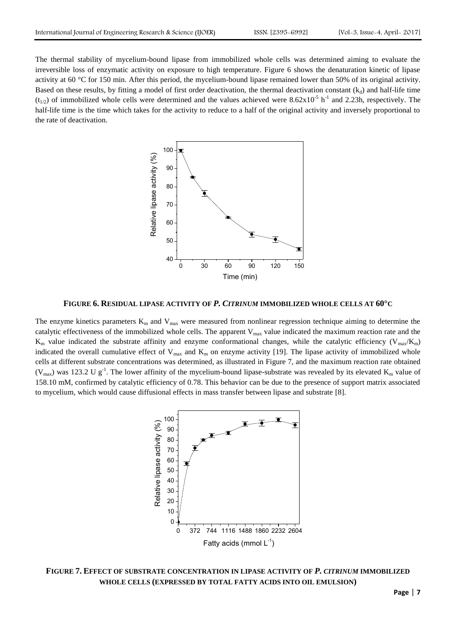The thermal stability of mycelium-bound lipase from immobilized whole cells was determined aiming to evaluate the irreversible loss of enzymatic activity on exposure to high temperature. Figure 6 shows the denaturation kinetic of lipase activity at 60  $\degree$ C for 150 min. After this period, the mycelium-bound lipase remained lower than 50% of its original activity. Based on these results, by fitting a model of first order deactivation, the thermal deactivation constant  $(k_d)$  and half-life time  $(t_{1/2})$  of immobilized whole cells were determined and the values achieved were 8.62x10<sup>-5</sup> h<sup>-1</sup> and 2.23h, respectively. The half-life time is the time which takes for the activity to reduce to a half of the original activity and inversely proportional to the rate of deactivation.



**FIGURE 6. RESIDUAL LIPASE ACTIVITY OF** *P. CITRINUM* **IMMOBILIZED WHOLE CELLS AT 60°C**

The enzyme kinetics parameters  $K_m$  and  $V_{max}$  were measured from nonlinear regression technique aiming to determine the catalytic effectiveness of the immobilized whole cells. The apparent  $V_{\text{max}}$  value indicated the maximum reaction rate and the  $K_m$  value indicated the substrate affinity and enzyme conformational changes, while the catalytic efficiency ( $V_{\text{max}}/K_m$ ) indicated the overall cumulative effect of  $V_{\text{max}}$  and  $K_{\text{m}}$  on enzyme activity [19]. The lipase activity of immobilized whole cells at different substrate concentrations was determined, as illustrated in Figure 7, and the maximum reaction rate obtained ( $V_{max}$ ) was 123.2 U g<sup>-1</sup>. The lower affinity of the mycelium-bound lipase-substrate was revealed by its elevated  $K_m$  value of 158.10 mM, confirmed by catalytic efficiency of 0.78. This behavior can be due to the presence of support matrix associated to mycelium, which would cause diffusional effects in mass transfer between lipase and substrate [8].



**FIGURE 7. EFFECT OF SUBSTRATE CONCENTRATION IN LIPASE ACTIVITY OF** *P. CITRINUM* **IMMOBILIZED WHOLE CELLS (EXPRESSED BY TOTAL FATTY ACIDS INTO OIL EMULSION)**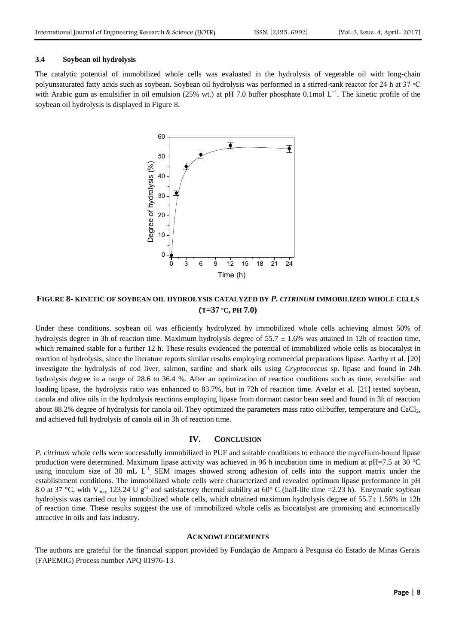#### **3.4 Soybean oil hydrolysis**

The catalytic potential of immobilized whole cells was evaluated in the hydrolysis of vegetable oil with long-chain polyunsaturated fatty acids such as soybean. Soybean oil hydrolysis was performed in a stirred-tank reactor for 24 h at 37 ◦C with Arabic gum as emulsifier in oil emulsion (25% wt.) at pH 7.0 buffer phosphate 0.1mol L<sup>-1</sup>. The kinetic profile of the soybean oil hydrolysis is displayed in Figure 8.



**FIGURE 8- KINETIC OF SOYBEAN OIL HYDROLYSIS CATALYZED BY** *P. CITRINUM* **IMMOBILIZED WHOLE CELLS (T=37 ºC, PH 7.0)**

Under these conditions, soybean oil was efficiently hydrolyzed by immobilized whole cells achieving almost 50% of hydrolysis degree in 3h of reaction time. Maximum hydrolysis degree of  $55.7 \pm 1.6\%$  was attained in 12h of reaction time, which remained stable for a further 12 h. These results evidenced the potential of immobilized whole cells as biocatalyst in reaction of hydrolysis, since the literature reports similar results employing commercial preparations lipase. Aarthy et al. [20] investigate the hydrolysis of cod liver, salmon, sardine and shark oils using *Cryptococcus* sp. lipase and found in 24h hydrolysis degree in a range of 28.6 to 36.4 %. After an optimization of reaction conditions such as time, emulsifier and loading lipase, the hydrolysis ratio was enhanced to 83.7%, but in 72h of reaction time. Avelar et al. [21] tested soybean, canola and olive oils in the hydrolysis reactions employing lipase from dormant castor bean seed and found in 3h of reaction about 88.2% degree of hydrolysis for canola oil. They optimized the parameters mass ratio oil:buffer, temperature and CaCl<sub>2</sub>, and achieved full hydrolysis of canola oil in 3h of reaction time.

#### **IV. CONCLUSION**

*P. citrinum* whole cells were successfully immobilized in PUF and suitable conditions to enhance the mycelium-bound lipase production were determined. Maximum lipase activity was achieved in 96 h incubation time in medium at pH=7.5 at 30 °C using inoculum size of 30 mL  $L^{-1}$ . SEM images showed strong adhesion of cells into the support matrix under the establishment conditions. The immobilized whole cells were characterized and revealed optimum lipase performance in pH 8.0 at 37 °C, with V<sub>max</sub> 123.24 U g<sup>-1</sup> and satisfactory thermal stability at 60° C (half-life time =2.23 h). Enzymatic soybean hydrolysis was carried out by immobilized whole cells, which obtained maximum hydrolysis degree of 55.7 $\pm$  1.56% in 12h of reaction time. These results suggest the use of immobilized whole cells as biocatalyst are promising and economically attractive in oils and fats industry.

#### **ACKNOWLEDGEMENTS**

The authors are grateful for the financial support provided by Fundação de Amparo à Pesquisa do Estado de Minas Gerais (FAPEMIG) Process number APQ 01976-13.